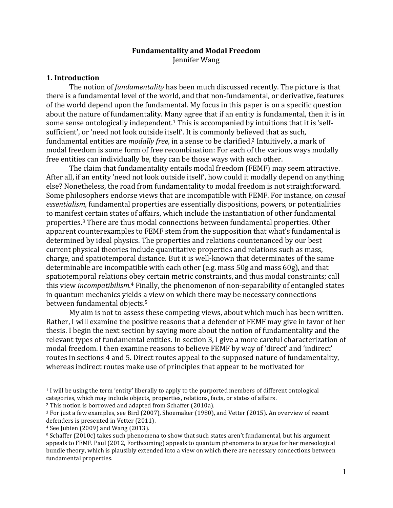# **Fundamentality and Modal Freedom** Jennifer Wang

## **1. Introduction**

The notion of *fundamentality* has been much discussed recently. The picture is that there is a fundamental level of the world, and that non-fundamental, or derivative, features of the world depend upon the fundamental. My focus in this paper is on a specific question about the nature of fundamentality. Many agree that if an entity is fundamental, then it is in some sense ontologically independent.<sup>1</sup> This is accompanied by intuitions that it is 'selfsufficient', or 'need not look outside itself'. It is commonly believed that as such, fundamental entities are *modally free*, in a sense to be clarified.<sup>2</sup> Intuitively, a mark of modal freedom is some form of free recombination: For each of the various ways modally free entities can individually be, they can be those ways with each other.

The claim that fundamentality entails modal freedom (FEMF) may seem attractive. After all, if an entity 'need not look outside itself', how could it modally depend on anything else? Nonetheless, the road from fundamentality to modal freedom is not straightforward. Some philosophers endorse views that are incompatible with FEMF. For instance, on *causal essentialism*, fundamental properties are essentially dispositions, powers, or potentialities to manifest certain states of affairs, which include the instantiation of other fundamental properties.<sup>3</sup> There are thus modal connections between fundamental properties. Other apparent counterexamples to FEMF stem from the supposition that what's fundamental is determined by ideal physics. The properties and relations countenanced by our best current physical theories include quantitative properties and relations such as mass, charge, and spatiotemporal distance. But it is well-known that determinates of the same determinable are incompatible with each other (e.g. mass  $50g$  and mass  $60g$ ), and that spatiotemporal relations obey certain metric constraints, and thus modal constraints; call this view *incompatibilism*.<sup>4</sup> Finally, the phenomenon of non-separability of entangled states in quantum mechanics yields a view on which there may be necessary connections between fundamental objects.<sup>5</sup>

My aim is not to assess these competing views, about which much has been written. Rather, I will examine the positive reasons that a defender of FEMF may give in favor of her thesis. I begin the next section by saying more about the notion of fundamentality and the relevant types of fundamental entities. In section 3, I give a more careful characterization of modal freedom. I then examine reasons to believe FEMF by way of 'direct' and 'indirect' routes in sections 4 and 5. Direct routes appeal to the supposed nature of fundamentality, whereas indirect routes make use of principles that appear to be motivated for

 $1$  I will be using the term 'entity' liberally to apply to the purported members of different ontological categories, which may include objects, properties, relations, facts, or states of affairs.

 $2$  This notion is borrowed and adapted from Schaffer (2010a).

<sup>&</sup>lt;sup>3</sup> For just a few examples, see Bird (2007), Shoemaker (1980), and Vetter (2015). An overview of recent defenders is presented in Vetter (2011).

 $4$  See Jubien (2009) and Wang (2013).

<sup>&</sup>lt;sup>5</sup> Schaffer (2010c) takes such phenomena to show that such states aren't fundamental, but his argument appeals to FEMF. Paul (2012, Forthcoming) appeals to quantum phenomena to argue for her mereological bundle theory, which is plausibly extended into a view on which there are necessary connections between fundamental properties.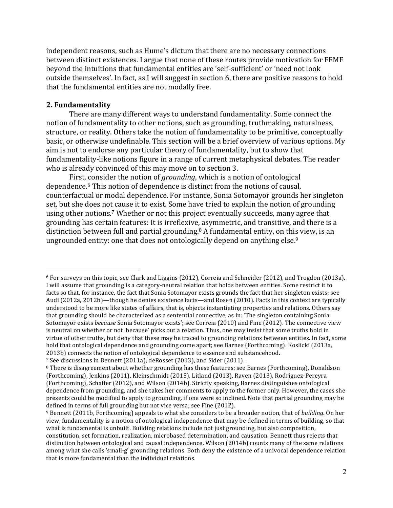independent reasons, such as Hume's dictum that there are no necessary connections between distinct existences. I argue that none of these routes provide motivation for FEMF beyond the intuitions that fundamental entities are 'self-sufficient' or 'need not look outside themselves'. In fact, as I will suggest in section 6, there are positive reasons to hold that the fundamental entities are not modally free.

#### **2. Fundamentality**

 $\overline{a}$ 

There are many different ways to understand fundamentality. Some connect the notion of fundamentality to other notions, such as grounding, truthmaking, naturalness, structure, or reality. Others take the notion of fundamentality to be primitive, conceptually basic, or otherwise undefinable. This section will be a brief overview of various options. My aim is not to endorse any particular theory of fundamentality, but to show that fundamentality-like notions figure in a range of current metaphysical debates. The reader who is already convinced of this may move on to section 3.

First, consider the notion of *grounding*, which is a notion of ontological dependence.<sup>6</sup> This notion of dependence is distinct from the notions of causal, counterfactual or modal dependence. For instance, Sonia Sotomayor grounds her singleton set, but she does not cause it to exist. Some have tried to explain the notion of grounding using other notions.<sup>7</sup> Whether or not this project eventually succeeds, many agree that grounding has certain features: It is irreflexive, asymmetric, and transitive, and there is a distinction between full and partial grounding.<sup>8</sup> A fundamental entity, on this view, is an ungrounded entity: one that does not ontologically depend on anything else.<sup>9</sup>

 $6$  For surveys on this topic, see Clark and Liggins (2012), Correia and Schneider (2012), and Trogdon (2013a). I will assume that grounding is a category-neutral relation that holds between entities. Some restrict it to facts so that, for instance, the fact that Sonia Sotomayor exists grounds the fact that her singleton exists; see Audi (2012a, 2012b)—though he denies existence facts—and Rosen (2010). Facts in this context are typically understood to be more like states of affairs, that is, objects instantiating properties and relations. Others say that grounding should be characterized as a sentential connective, as in: 'The singleton containing Sonia Sotomayor exists *because* Sonia Sotomayor exists'; see Correia (2010) and Fine (2012). The connective view is neutral on whether or not 'because' picks out a relation. Thus, one may insist that some truths hold in virtue of other truths, but deny that these may be traced to grounding relations between entities. In fact, some hold that ontological dependence and grounding come apart; see Barnes (Forthcoming). Koslicki (2013a, 2013b) connects the notion of ontological dependence to essence and substancehood.

<sup>&</sup>lt;sup>7</sup> See discussions in Bennett (2011a), deRosset (2013), and Sider (2011).

 $8$  There is disagreement about whether grounding has these features; see Barnes (Forthcoming), Donaldson (Forthcoming), Jenkins (2011), Kleinschmidt (2015), Litland (2013), Raven (2013), Rodriguez-Pereyra (Forthcoming), Schaffer (2012), and Wilson (2014b). Strictly speaking, Barnes distinguishes ontological dependence from grounding, and she takes her comments to apply to the former only. However, the cases she presents could be modified to apply to grounding, if one were so inclined. Note that partial grounding may be defined in terms of full grounding but not vice versa; see Fine (2012).

<sup>&</sup>lt;sup>9</sup> Bennett (2011b, Forthcoming) appeals to what she considers to be a broader notion, that of *building*. On her view, fundamentality is a notion of ontological independence that may be defined in terms of building, so that what is fundamental is unbuilt. Building relations include not just grounding, but also composition, constitution, set formation, realization, microbased determination, and causation. Bennett thus rejects that distinction between ontological and causal independence. Wilson (2014b) counts many of the same relations among what she calls 'small-g' grounding relations. Both deny the existence of a univocal dependence relation that is more fundamental than the individual relations.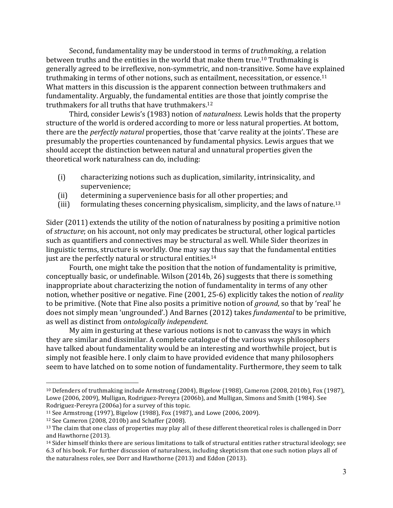Second, fundamentality may be understood in terms of *truthmaking*, a relation between truths and the entities in the world that make them true.<sup>10</sup> Truthmaking is generally agreed to be irreflexive, non-symmetric, and non-transitive. Some have explained truthmaking in terms of other notions, such as entailment, necessitation, or essence.<sup>11</sup> What matters in this discussion is the apparent connection between truthmakers and fundamentality. Arguably, the fundamental entities are those that jointly comprise the truthmakers for all truths that have truthmakers.<sup>12</sup>

Third, consider Lewis's (1983) notion of *naturalness*. Lewis holds that the property structure of the world is ordered according to more or less natural properties. At bottom, there are the *perfectly natural* properties, those that 'carve reality at the joints'. These are presumably the properties countenanced by fundamental physics. Lewis argues that we should accept the distinction between natural and unnatural properties given the theoretical work naturalness can do, including:

- $(i)$  characterizing notions such as duplication, similarity, intrinsicality, and supervenience;
- (ii) determining a supervenience basis for all other properties; and
- (iii) formulating theses concerning physicalism, simplicity, and the laws of nature.<sup>13</sup>

Sider  $(2011)$  extends the utility of the notion of naturalness by positing a primitive notion of *structure*; on his account, not only may predicates be structural, other logical particles such as quantifiers and connectives may be structural as well. While Sider theorizes in linguistic terms, structure is worldly. One may say thus say that the fundamental entities just are the perfectly natural or structural entities.<sup>14</sup>

Fourth, one might take the position that the notion of fundamentality is primitive, conceptually basic, or undefinable. Wilson  $(2014b, 26)$  suggests that there is something inappropriate about characterizing the notion of fundamentality in terms of any other notion, whether positive or negative. Fine (2001, 25-6) explicitly takes the notion of *reality* to be primitive. (Note that Fine also posits a primitive notion of *ground*, so that by 'real' he does not simply mean 'ungrounded'.) And Barnes (2012) takes *fundamental* to be primitive, as well as distinct from *ontologically independent*.

My aim in gesturing at these various notions is not to canvass the ways in which they are similar and dissimilar. A complete catalogue of the various ways philosophers have talked about fundamentality would be an interesting and worthwhile project, but is simply not feasible here. I only claim to have provided evidence that many philosophers seem to have latched on to some notion of fundamentality. Furthermore, they seem to talk

 $10$  Defenders of truthmaking include Armstrong (2004), Bigelow (1988), Cameron (2008, 2010b), Fox (1987), Lowe (2006, 2009), Mulligan, Rodriguez-Pereyra (2006b), and Mulligan, Simons and Smith (1984). See Rodriguez-Pereyra (2006a) for a survey of this topic.

<sup>&</sup>lt;sup>11</sup> See Armstrong (1997), Bigelow (1988), Fox (1987), and Lowe (2006, 2009).

<sup>12</sup> See Cameron (2008, 2010b) and Schaffer (2008).

<sup>&</sup>lt;sup>13</sup> The claim that one class of properties may play all of these different theoretical roles is challenged in Dorr and Hawthorne (2013).

 $14$  Sider himself thinks there are serious limitations to talk of structural entities rather structural ideology; see 6.3 of his book. For further discussion of naturalness, including skepticism that one such notion plays all of the naturalness roles, see Dorr and Hawthorne (2013) and Eddon (2013).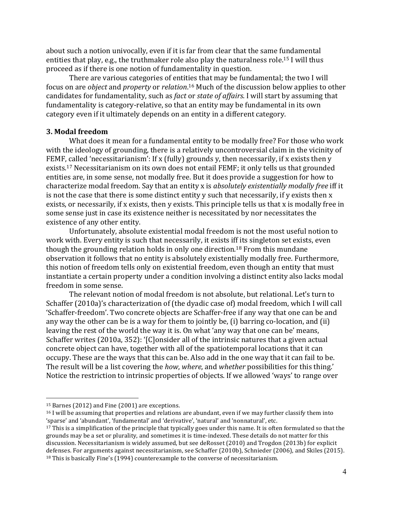about such a notion univocally, even if it is far from clear that the same fundamental entities that play, e.g., the truthmaker role also play the naturalness role.<sup>15</sup> I will thus proceed as if there is one notion of fundamentality in question.

There are various categories of entities that may be fundamental; the two I will focus on are *object* and *property* or *relation*.<sup>16</sup> Much of the discussion below applies to other candidates for fundamentality, such as *fact* or *state of affairs*. I will start by assuming that fundamentality is category-relative, so that an entity may be fundamental in its own category even if it ultimately depends on an entity in a different category.

### **3. Modal freedom**

What does it mean for a fundamental entity to be modally free? For those who work with the ideology of grounding, there is a relatively uncontroversial claim in the vicinity of FEMF, called 'necessitarianism': If x (fully) grounds y, then necessarily, if x exists then y exists.<sup>17</sup> Necessitarianism on its own does not entail FEMF; it only tells us that grounded entities are, in some sense, not modally free. But it does provide a suggestion for how to characterize modal freedom. Say that an entity x is *absolutely existentially modally free* iff it is not the case that there is some distinct entity y such that necessarily, if y exists then x exists, or necessarily, if x exists, then y exists. This principle tells us that x is modally free in some sense just in case its existence neither is necessitated by nor necessitates the existence of any other entity.

Unfortunately, absolute existential modal freedom is not the most useful notion to work with. Every entity is such that necessarily, it exists iff its singleton set exists, even though the grounding relation holds in only one direction.<sup>18</sup> From this mundane observation it follows that no entity is absolutely existentially modally free. Furthermore, this notion of freedom tells only on existential freedom, even though an entity that must instantiate a certain property under a condition involving a distinct entity also lacks modal freedom in some sense.

The relevant notion of modal freedom is not absolute, but relational. Let's turn to Schaffer (2010a)'s characterization of (the dyadic case of) modal freedom, which I will call 'Schaffer-freedom'. Two concrete objects are Schaffer-free if any way that one can be and any way the other can be is a way for them to jointly be, (i) barring co-location, and (ii) leaving the rest of the world the way it is. On what 'any way that one can be' means, Schaffer writes  $(2010a, 352)$ : ' $[Clonsider all of the intrinsic nature that a given actual$ concrete object can have, together with all of the spatiotemporal locations that it can occupy. These are the ways that this can be. Also add in the one way that it can fail to be. The result will be a list covering the *how*, *where*, and *whether* possibilities for this thing.' Notice the restriction to intrinsic properties of objects. If we allowed 'ways' to range over

 $15$  Barnes (2012) and Fine (2001) are exceptions.

<sup>&</sup>lt;sup>16</sup> I will be assuming that properties and relations are abundant, even if we may further classify them into 'sparse' and 'abundant', 'fundamental' and 'derivative', 'natural' and 'nonnatural', etc.

 $17$  This is a simplification of the principle that typically goes under this name. It is often formulated so that the grounds may be a set or plurality, and sometimes it is time-indexed. These details do not matter for this discussion. Necessitarianism is widely assumed, but see deRosset (2010) and Trogdon (2013b) for explicit defenses. For arguments against necessitarianism, see Schaffer (2010b), Schnieder (2006), and Skiles (2015).  $18$  This is basically Fine's (1994) counterexample to the converse of necessitarianism.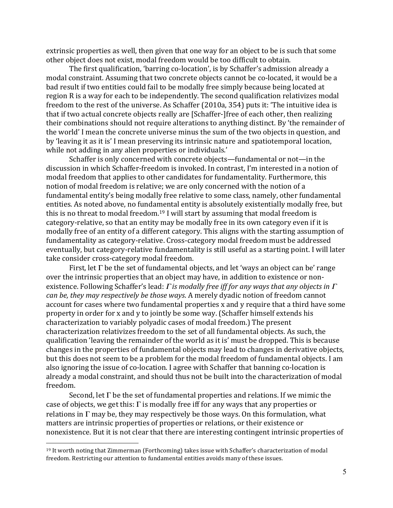extrinsic properties as well, then given that one way for an object to be is such that some other object does not exist, modal freedom would be too difficult to obtain.

The first qualification, 'barring co-location', is by Schaffer's admission already a modal constraint. Assuming that two concrete objects cannot be co-located, it would be a bad result if two entities could fail to be modally free simply because being located at region R is a way for each to be independently. The second qualification relativizes modal freedom to the rest of the universe. As Schaffer (2010a, 354) puts it: 'The intuitive idea is that if two actual concrete objects really are [Schaffer-]free of each other, then realizing their combinations should not require alterations to anything distinct. By 'the remainder of the world' I mean the concrete universe minus the sum of the two objects in question, and by 'leaving it as it is' I mean preserving its intrinsic nature and spatiotemporal location, while not adding in any alien properties or individuals.'

Schaffer is only concerned with concrete objects—fundamental or not—in the discussion in which Schaffer-freedom is invoked. In contrast, I'm interested in a notion of modal freedom that applies to other candidates for fundamentality. Furthermore, this notion of modal freedom is relative; we are only concerned with the notion of a fundamental entity's being modally free relative to some class, namely, other fundamental entities. As noted above, no fundamental entity is absolutely existentially modally free, but this is no threat to modal freedom.<sup>19</sup> I will start by assuming that modal freedom is category-relative, so that an entity may be modally free in its own category even if it is modally free of an entity of a different category. This aligns with the starting assumption of fundamentality as category-relative. Cross-category modal freedom must be addressed eventually, but category-relative fundamentality is still useful as a starting point. I will later take consider cross-category modal freedom.

First, let  $\Gamma$  be the set of fundamental objects, and let 'ways an object can be' range over the intrinsic properties that an object may have, in addition to existence or nonexistence. Following Schaffer's lead: *Γ is* modally free iff for any ways that any objects in  $\Gamma$ *can be, they may respectively be those ways.* A merely dyadic notion of freedom cannot account for cases where two fundamental properties x and y require that a third have some property in order for x and y to jointly be some way. (Schaffer himself extends his characterization to variably polyadic cases of modal freedom.) The present characterization relativizes freedom to the set of all fundamental objects. As such, the qualification 'leaving the remainder of the world as it is' must be dropped. This is because changes in the properties of fundamental objects may lead to changes in derivative objects, but this does not seem to be a problem for the modal freedom of fundamental objects. I am also ignoring the issue of co-location. I agree with Schaffer that banning co-location is already a modal constraint, and should thus not be built into the characterization of modal freedom.

Second, let  $\Gamma$  be the set of fundamental properties and relations. If we mimic the case of objects, we get this:  $\Gamma$  is modally free iff for any ways that any properties or relations in  $\Gamma$  may be, they may respectively be those ways. On this formulation, what matters are intrinsic properties of properties or relations, or their existence or nonexistence. But it is not clear that there are interesting contingent intrinsic properties of

 $19$  It worth noting that Zimmerman (Forthcoming) takes issue with Schaffer's characterization of modal freedom. Restricting our attention to fundamental entities avoids many of these issues.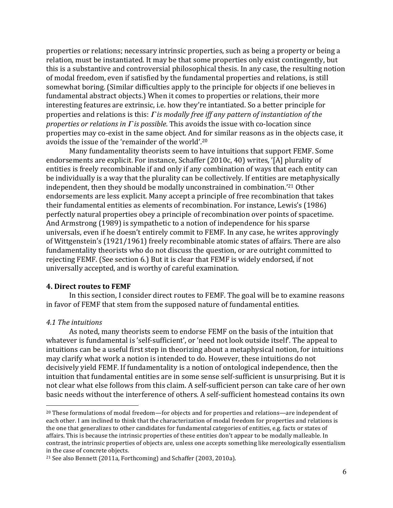properties or relations; necessary intrinsic properties, such as being a property or being a relation, must be instantiated. It may be that some properties only exist contingently, but this is a substantive and controversial philosophical thesis. In any case, the resulting notion of modal freedom, even if satisfied by the fundamental properties and relations, is still somewhat boring. (Similar difficulties apply to the principle for objects if one believes in fundamental abstract objects.) When it comes to properties or relations, their more interesting features are extrinsic, i.e. how they're intantiated. So a better principle for properties and relations is this: *Γ* is modally free iff any pattern of instantiation of the *properties or relations in*  $\Gamma$  *is possible*. This avoids the issue with co-location since properties may co-exist in the same object. And for similar reasons as in the objects case, it avoids the issue of the 'remainder of the world'.<sup>20</sup>

Many fundamentality theorists seem to have intuitions that support FEMF. Some endorsements are explicit. For instance, Schaffer (2010c, 40) writes, '[A] plurality of entities is freely recombinable if and only if any combination of ways that each entity can be individually is a way that the plurality can be collectively. If entities are metaphysically independent, then they should be modally unconstrained in combination.<sup>'21</sup> Other endorsements are less explicit. Many accept a principle of free recombination that takes their fundamental entities as elements of recombination. For instance, Lewis's (1986) perfectly natural properties obey a principle of recombination over points of spacetime. And Armstrong (1989) is sympathetic to a notion of independence for his sparse universals, even if he doesn't entirely commit to FEMF. In any case, he writes approvingly of Wittgenstein's (1921/1961) freely recombinable atomic states of affairs. There are also fundamentality theorists who do not discuss the question, or are outright committed to rejecting FEMF. (See section 6.) But it is clear that FEMF is widely endorsed, if not universally accepted, and is worthy of careful examination.

#### **4. Direct routes to FEMF**

In this section, I consider direct routes to FEMF. The goal will be to examine reasons in favor of FEMF that stem from the supposed nature of fundamental entities.

### **4.1 The intuitions**

 $\overline{a}$ 

As noted, many theorists seem to endorse FEMF on the basis of the intuition that whatever is fundamental is 'self-sufficient', or 'need not look outside itself'. The appeal to intuitions can be a useful first step in theorizing about a metaphysical notion, for intuitions may clarify what work a notion is intended to do. However, these intuitions do not decisively yield FEMF. If fundamentality is a notion of ontological independence, then the intuition that fundamental entities are in some sense self-sufficient is unsurprising. But it is not clear what else follows from this claim. A self-sufficient person can take care of her own basic needs without the interference of others. A self-sufficient homestead contains its own

 $20$  These formulations of modal freedom—for objects and for properties and relations—are independent of each other. I am inclined to think that the characterization of modal freedom for properties and relations is the one that generalizes to other candidates for fundamental categories of entities, e.g. facts or states of affairs. This is because the intrinsic properties of these entities don't appear to be modally malleable. In contrast, the intrinsic properties of objects are, unless one accepts something like mereologically essentialism in the case of concrete objects.

 $21$  See also Bennett (2011a, Forthcoming) and Schaffer (2003, 2010a).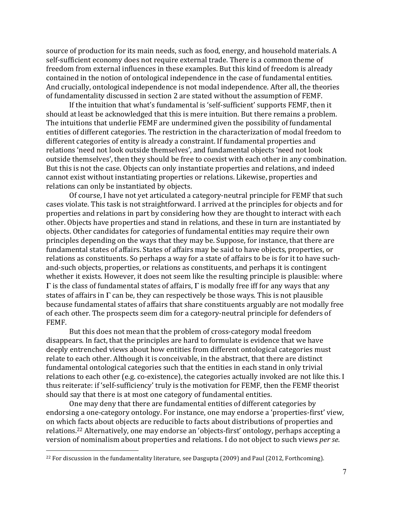source of production for its main needs, such as food, energy, and household materials. A self-sufficient economy does not require external trade. There is a common theme of freedom from external influences in these examples. But this kind of freedom is already contained in the notion of ontological independence in the case of fundamental entities. And crucially, ontological independence is not modal independence. After all, the theories of fundamentality discussed in section 2 are stated without the assumption of FEMF.

If the intuition that what's fundamental is 'self-sufficient' supports FEMF, then it should at least be acknowledged that this is mere intuition. But there remains a problem. The intuitions that underlie FEMF are undermined given the possibility of fundamental entities of different categories. The restriction in the characterization of modal freedom to different categories of entity is already a constraint. If fundamental properties and relations 'need not look outside themselves', and fundamental objects 'need not look outside themselves', then they should be free to coexist with each other in any combination. But this is not the case. Objects can only instantiate properties and relations, and indeed cannot exist without instantiating properties or relations. Likewise, properties and relations can only be instantiated by objects.

Of course, I have not yet articulated a category-neutral principle for FEMF that such cases violate. This task is not straightforward. I arrived at the principles for objects and for properties and relations in part by considering how they are thought to interact with each other. Objects have properties and stand in relations, and these in turn are instantiated by objects. Other candidates for categories of fundamental entities may require their own principles depending on the ways that they may be. Suppose, for instance, that there are fundamental states of affairs. States of affairs may be said to have objects, properties, or relations as constituents. So perhaps a way for a state of affairs to be is for it to have suchand-such objects, properties, or relations as constituents, and perhaps it is contingent whether it exists. However, it does not seem like the resulting principle is plausible: where  $\Gamma$  is the class of fundamental states of affairs,  $\Gamma$  is modally free iff for any ways that any states of affairs in  $\Gamma$  can be, they can respectively be those ways. This is not plausible because fundamental states of affairs that share constituents arguably are not modally free of each other. The prospects seem dim for a category-neutral principle for defenders of FEMF.

But this does not mean that the problem of cross-category modal freedom disappears. In fact, that the principles are hard to formulate is evidence that we have deeply entrenched views about how entities from different ontological categories must relate to each other. Although it is conceivable, in the abstract, that there are distinct fundamental ontological categories such that the entities in each stand in only trivial relations to each other (e.g. co-existence), the categories actually invoked are not like this. I thus reiterate: if 'self-sufficiency' truly is the motivation for FEMF, then the FEMF theorist should say that there is at most one category of fundamental entities.

One may deny that there are fundamental entities of different categories by endorsing a one-category ontology. For instance, one may endorse a 'properties-first' view, on which facts about objects are reducible to facts about distributions of properties and relations.<sup>22</sup> Alternatively, one may endorse an 'objects-first' ontology, perhaps accepting a version of nominalism about properties and relations. I do not object to such views *per se*.

 $22$  For discussion in the fundamentality literature, see Dasgupta (2009) and Paul (2012, Forthcoming).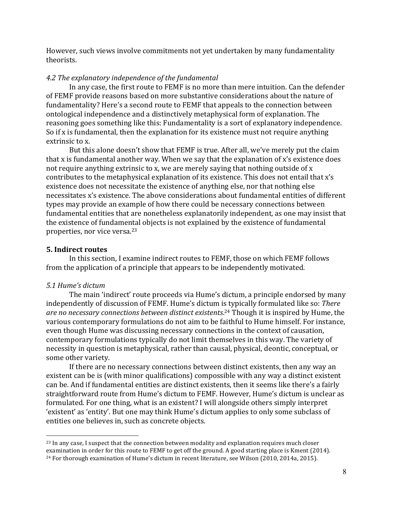However, such views involve commitments not yet undertaken by many fundamentality theorists.

## *4.2 The explanatory independence of the fundamental*

In any case, the first route to FEMF is no more than mere intuition. Can the defender of FEMF provide reasons based on more substantive considerations about the nature of fundamentality? Here's a second route to FEMF that appeals to the connection between ontological independence and a distinctively metaphysical form of explanation. The reasoning goes something like this: Fundamentality is a sort of explanatory independence. So if x is fundamental, then the explanation for its existence must not require anything extrinsic to x.

But this alone doesn't show that FEMF is true. After all, we've merely put the claim that x is fundamental another way. When we say that the explanation of x's existence does not require anything extrinsic to x, we are merely saying that nothing outside of x contributes to the metaphysical explanation of its existence. This does not entail that x's existence does not necessitate the existence of anything else, nor that nothing else necessitates x's existence. The above considerations about fundamental entities of different types may provide an example of how there could be necessary connections between fundamental entities that are nonetheless explanatorily independent, as one may insist that the existence of fundamental objects is not explained by the existence of fundamental properties, nor vice versa.<sup>23</sup>

## **5. Indirect routes**

In this section, I examine indirect routes to FEMF, those on which FEMF follows from the application of a principle that appears to be independently motivated.

# *5.1 Hume's dictum*

 $\overline{a}$ 

The main 'indirect' route proceeds via Hume's dictum, a principle endorsed by many independently of discussion of FEMF. Hume's dictum is typically formulated like so: There are no necessary connections between distinct existents.<sup>24</sup> Though it is inspired by Hume, the various contemporary formulations do not aim to be faithful to Hume himself. For instance, even though Hume was discussing necessary connections in the context of causation, contemporary formulations typically do not limit themselves in this way. The variety of necessity in question is metaphysical, rather than causal, physical, deontic, conceptual, or some other variety.

If there are no necessary connections between distinct existents, then any way an existent can be is (with minor qualifications) compossible with any way a distinct existent can be. And if fundamental entities are distinct existents, then it seems like there's a fairly straightforward route from Hume's dictum to FEMF. However, Hume's dictum is unclear as formulated. For one thing, what is an existent? I will alongside others simply interpret 'existent' as 'entity'. But one may think Hume's dictum applies to only some subclass of entities one believes in, such as concrete objects.

 $23$  In any case, I suspect that the connection between modality and explanation requires much closer examination in order for this route to FEMF to get off the ground. A good starting place is Kment (2014).  $24$  For thorough examination of Hume's dictum in recent literature, see Wilson (2010, 2014a, 2015).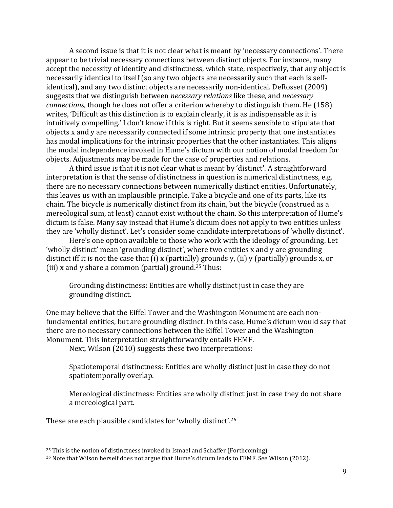A second issue is that it is not clear what is meant by 'necessary connections'. There appear to be trivial necessary connections between distinct objects. For instance, many accept the necessity of identity and distinctness, which state, respectively, that any object is necessarily identical to itself (so any two objects are necessarily such that each is selfidentical), and any two distinct objects are necessarily non-identical. DeRosset (2009) suggests that we distinguish between *necessary relations* like these, and *necessary connections*, though he does not offer a criterion whereby to distinguish them. He (158) writes, 'Difficult as this distinction is to explain clearly, it is as indispensable as it is intuitively compelling.' I don't know if this is right. But it seems sensible to stipulate that objects x and y are necessarily connected if some intrinsic property that one instantiates has modal implications for the intrinsic properties that the other instantiates. This aligns the modal independence invoked in Hume's dictum with our notion of modal freedom for objects. Adjustments may be made for the case of properties and relations.

A third issue is that it is not clear what is meant by 'distinct'. A straightforward interpretation is that the sense of distinctness in question is numerical distinctness, e.g. there are no necessary connections between numerically distinct entities. Unfortunately, this leaves us with an implausible principle. Take a bicycle and one of its parts, like its chain. The bicycle is numerically distinct from its chain, but the bicycle (construed as a mereological sum, at least) cannot exist without the chain. So this interpretation of Hume's dictum is false. Many say instead that Hume's dictum does not apply to two entities unless they are 'wholly distinct'. Let's consider some candidate interpretations of 'wholly distinct'.

Here's one option available to those who work with the ideology of grounding. Let 'wholly distinct' mean 'grounding distinct', where two entities x and y are grounding distinct iff it is not the case that (i) x (partially) grounds y, (ii) y (partially) grounds x, or (iii) x and y share a common (partial) ground.<sup>25</sup> Thus:

Grounding distinctness: Entities are wholly distinct just in case they are grounding distinct.

One may believe that the Eiffel Tower and the Washington Monument are each nonfundamental entities, but are grounding distinct. In this case, Hume's dictum would say that there are no necessary connections between the Eiffel Tower and the Washington Monument. This interpretation straightforwardly entails FEMF.

Next, Wilson (2010) suggests these two interpretations:

Spatiotemporal distinctness: Entities are wholly distinct just in case they do not spatiotemporally overlap.

Mereological distinctness: Entities are wholly distinct just in case they do not share a mereological part.

These are each plausible candidates for 'wholly distinct'.<sup>26</sup>

 $25$  This is the notion of distinctness invoked in Ismael and Schaffer (Forthcoming).

 $^{26}$  Note that Wilson herself does not argue that Hume's dictum leads to FEMF. See Wilson (2012).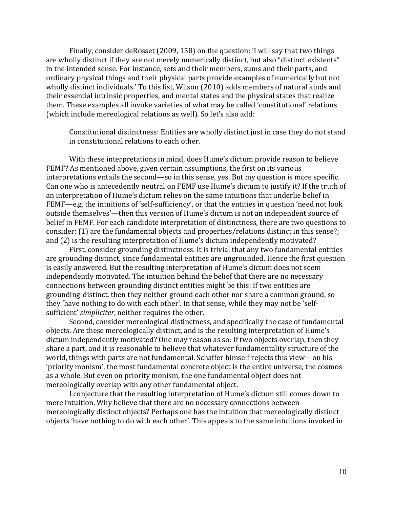Finally, consider deRosset  $(2009, 158)$  on the question: 'I will say that two things are wholly distinct if they are not merely numerically distinct, but also "distinct existents" in the intended sense. For instance, sets and their members, sums and their parts, and ordinary physical things and their physical parts provide examples of numerically but not wholly distinct individuals.' To this list, Wilson (2010) adds members of natural kinds and their essential intrinsic properties, and mental states and the physical states that realize them. These examples all invoke varieties of what may be called 'constitutional' relations (which include mereological relations as well). So let's also add:

Constitutional distinctness: Entities are wholly distinct just in case they do not stand in constitutional relations to each other.

With these interpretations in mind, does Hume's dictum provide reason to believe FEMF? As mentioned above, given certain assumptions, the first on its various interpretations entails the second—so in this sense, yes. But my question is more specific. Can one who is antecedently neutral on FEMF use Hume's dictum to justify it? If the truth of an interpretation of Hume's dictum relies on the same intuitions that underlie belief in FEMF—e.g. the intuitions of 'self-sufficiency', or that the entities in question 'need not look outside themselves'—then this version of Hume's dictum is not an independent source of belief in FEMF. For each candidate interpretation of distinctness, there are two questions to consider: (1) are the fundamental objects and properties/relations distinct in this sense?; and (2) is the resulting interpretation of Hume's dictum independently motivated?

First, consider grounding distinctness. It is trivial that any two fundamental entities are grounding distinct, since fundamental entities are ungrounded. Hence the first question is easily answered. But the resulting interpretation of Hume's dictum does not seem independently motivated. The intuition behind the belief that there are no necessary connections between grounding distinct entities might be this: If two entities are grounding-distinct, then they neither ground each other nor share a common ground, so they 'have nothing to do with each other'. In that sense, while they may not be 'selfsufficient' *simpliciter*, neither requires the other.

Second, consider mereological distinctness, and specifically the case of fundamental objects. Are these mereologically distinct, and is the resulting interpretation of Hume's dictum independently motivated? One may reason as so: If two objects overlap, then they share a part, and it is reasonable to believe that whatever fundamentality structure of the world, things with parts are not fundamental. Schaffer himself rejects this view—on his 'priority monism', the most fundamental concrete object is the entire universe, the cosmos as a whole. But even on priority monism, the one fundamental object does not mereologically overlap with any other fundamental object.

I conjecture that the resulting interpretation of Hume's dictum still comes down to mere intuition. Why believe that there are no necessary connections between mereologically distinct objects? Perhaps one has the intuition that mereologically distinct objects 'have nothing to do with each other'. This appeals to the same intuitions invoked in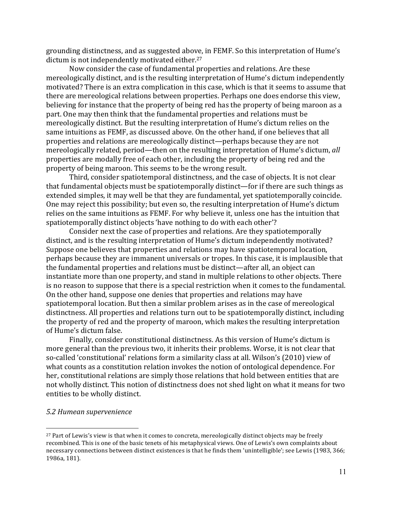grounding distinctness, and as suggested above, in FEMF. So this interpretation of Hume's dictum is not independently motivated either.<sup>27</sup>

Now consider the case of fundamental properties and relations. Are these mereologically distinct, and is the resulting interpretation of Hume's dictum independently motivated? There is an extra complication in this case, which is that it seems to assume that there are mereological relations between properties. Perhaps one does endorse this view, believing for instance that the property of being red has the property of being maroon as a part. One may then think that the fundamental properties and relations must be mereologically distinct. But the resulting interpretation of Hume's dictum relies on the same intuitions as FEMF, as discussed above. On the other hand, if one believes that all properties and relations are mereologically distinct—perhaps because they are not mereologically related, period—then on the resulting interpretation of Hume's dictum, *all* properties are modally free of each other, including the property of being red and the property of being maroon. This seems to be the wrong result.

Third, consider spatiotemporal distinctness, and the case of objects. It is not clear that fundamental objects must be spatiotemporally distinct—for if there are such things as extended simples, it may well be that they are fundamental, yet spatiotemporally coincide. One may reject this possibility; but even so, the resulting interpretation of Hume's dictum relies on the same intuitions as FEMF. For why believe it, unless one has the intuition that spatiotemporally distinct objects 'have nothing to do with each other'?

Consider next the case of properties and relations. Are they spatiotemporally distinct, and is the resulting interpretation of Hume's dictum independently motivated? Suppose one believes that properties and relations may have spatiotemporal location, perhaps because they are immanent universals or tropes. In this case, it is implausible that the fundamental properties and relations must be distinct—after all, an object can instantiate more than one property, and stand in multiple relations to other objects. There is no reason to suppose that there is a special restriction when it comes to the fundamental. On the other hand, suppose one denies that properties and relations may have spatiotemporal location. But then a similar problem arises as in the case of mereological distinctness. All properties and relations turn out to be spatiotemporally distinct, including the property of red and the property of maroon, which makes the resulting interpretation of Hume's dictum false.

Finally, consider constitutional distinctness. As this version of Hume's dictum is more general than the previous two, it inherits their problems. Worse, it is not clear that so-called 'constitutional' relations form a similarity class at all. Wilson's (2010) view of what counts as a constitution relation invokes the notion of ontological dependence. For her, constitutional relations are simply those relations that hold between entities that are not wholly distinct. This notion of distinctness does not shed light on what it means for two entities to be wholly distinct.

#### *5.2 Humean supervenience*

<sup>&</sup>lt;sup>27</sup> Part of Lewis's view is that when it comes to concreta, mereologically distinct objects may be freely recombined. This is one of the basic tenets of his metaphysical views. One of Lewis's own complaints about necessary connections between distinct existences is that he finds them 'unintelligible'; see Lewis (1983, 366; 1986a, 181).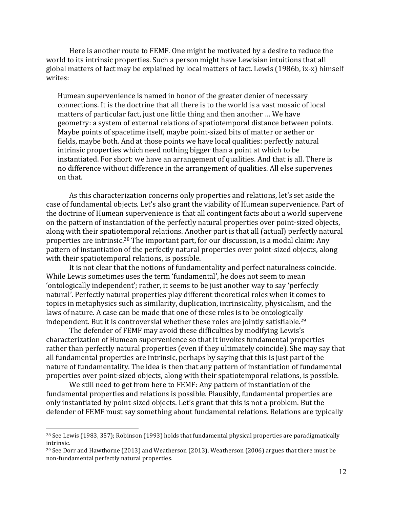Here is another route to FEMF. One might be motivated by a desire to reduce the world to its intrinsic properties. Such a person might have Lewisian intuitions that all global matters of fact may be explained by local matters of fact. Lewis (1986b, ix-x) himself writes:

Humean supervenience is named in honor of the greater denier of necessary connections. It is the doctrine that all there is to the world is a vast mosaic of local matters of particular fact, just one little thing and then another ... We have geometry: a system of external relations of spatiotemporal distance between points. Maybe points of spacetime itself, maybe point-sized bits of matter or aether or fields, maybe both. And at those points we have local qualities: perfectly natural intrinsic properties which need nothing bigger than a point at which to be instantiated. For short: we have an arrangement of qualities. And that is all. There is no difference without difference in the arrangement of qualities. All else supervenes on that.

As this characterization concerns only properties and relations, let's set aside the case of fundamental objects. Let's also grant the viability of Humean supervenience. Part of the doctrine of Humean supervenience is that all contingent facts about a world supervene on the pattern of instantiation of the perfectly natural properties over point-sized objects, along with their spatiotemporal relations. Another part is that all (actual) perfectly natural properties are intrinsic.<sup>28</sup> The important part, for our discussion, is a modal claim: Any pattern of instantiation of the perfectly natural properties over point-sized objects, along with their spatiotemporal relations, is possible.

It is not clear that the notions of fundamentality and perfect naturalness coincide. While Lewis sometimes uses the term 'fundamental', he does not seem to mean 'ontologically independent'; rather, it seems to be just another way to say 'perfectly natural'. Perfectly natural properties play different theoretical roles when it comes to topics in metaphysics such as similarity, duplication, intrinsicality, physicalism, and the laws of nature. A case can be made that one of these roles is to be ontologically independent. But it is controversial whether these roles are jointly satisfiable.<sup>29</sup>

The defender of FEMF may avoid these difficulties by modifying Lewis's characterization of Humean supervenience so that it invokes fundamental properties rather than perfectly natural properties (even if they ultimately coincide). She may say that all fundamental properties are intrinsic, perhaps by saying that this is just part of the nature of fundamentality. The idea is then that any pattern of instantiation of fundamental properties over point-sized objects, along with their spatiotemporal relations, is possible.

We still need to get from here to FEMF: Any pattern of instantiation of the fundamental properties and relations is possible. Plausibly, fundamental properties are only instantiated by point-sized objects. Let's grant that this is not a problem. But the defender of FEMF must say something about fundamental relations. Relations are typically

 $28$  See Lewis (1983, 357); Robinson (1993) holds that fundamental physical properties are paradigmatically intrinsic.

 $^{29}$  See Dorr and Hawthorne (2013) and Weatherson (2013). Weatherson (2006) argues that there must be non-fundamental perfectly natural properties.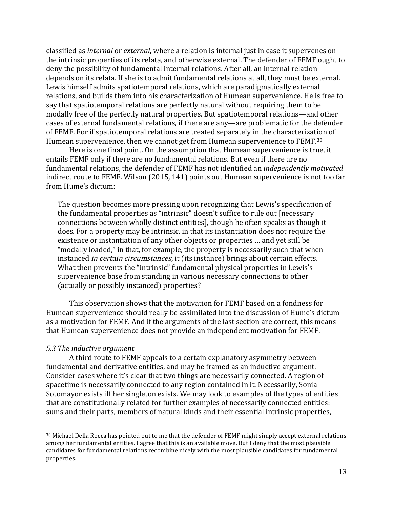classified as *internal* or *external*, where a relation is internal just in case it supervenes on the intrinsic properties of its relata, and otherwise external. The defender of FEMF ought to deny the possibility of fundamental internal relations. After all, an internal relation depends on its relata. If she is to admit fundamental relations at all, they must be external. Lewis himself admits spatiotemporal relations, which are paradigmatically external relations, and builds them into his characterization of Humean supervenience. He is free to say that spatiotemporal relations are perfectly natural without requiring them to be modally free of the perfectly natural properties. But spatiotemporal relations—and other cases of external fundamental relations, if there are any—are problematic for the defender of FEMF. For if spatiotemporal relations are treated separately in the characterization of Humean supervenience, then we cannot get from Humean supervenience to FEMF.<sup>30</sup>

Here is one final point. On the assumption that Humean supervenience is true, it entails FEMF only if there are no fundamental relations. But even if there are no fundamental relations, the defender of FEMF has not identified an *independently motivated* indirect route to FEMF. Wilson (2015, 141) points out Humean supervenience is not too far from Hume's dictum:

The question becomes more pressing upon recognizing that Lewis's specification of the fundamental properties as "intrinsic" doesn't suffice to rule out [necessary connections between wholly distinct entities], though he often speaks as though it does. For a property may be intrinsic, in that its instantiation does not require the existence or instantiation of any other objects or properties … and yet still be "modally loaded," in that, for example, the property is necessarily such that when instanced *in certain circumstances*, it (its instance) brings about certain effects. What then prevents the "intrinsic" fundamental physical properties in Lewis's supervenience base from standing in various necessary connections to other (actually or possibly instanced) properties?

This observation shows that the motivation for FEMF based on a fondness for Humean supervenience should really be assimilated into the discussion of Hume's dictum as a motivation for FEMF. And if the arguments of the last section are correct, this means that Humean supervenience does not provide an independent motivation for FEMF.

#### 5.3 The inductive argument

 $\overline{a}$ 

A third route to FEMF appeals to a certain explanatory asymmetry between fundamental and derivative entities, and may be framed as an inductive argument. Consider cases where it's clear that two things are necessarily connected. A region of spacetime is necessarily connected to any region contained in it. Necessarily, Sonia Sotomayor exists iff her singleton exists. We may look to examples of the types of entities that are constitutionally related for further examples of necessarily connected entities: sums and their parts, members of natural kinds and their essential intrinsic properties,

<sup>30</sup> Michael Della Rocca has pointed out to me that the defender of FEMF might simply accept external relations among her fundamental entities. I agree that this is an available move. But I deny that the most plausible candidates for fundamental relations recombine nicely with the most plausible candidates for fundamental properties.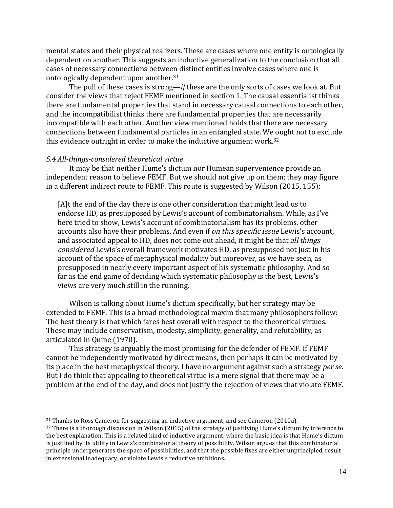mental states and their physical realizers. These are cases where one entity is ontologically dependent on another. This suggests an inductive generalization to the conclusion that all cases of necessary connections between distinct entities involve cases where one is ontologically dependent upon another. $31$ 

The pull of these cases is strong—*if* these are the only sorts of cases we look at. But consider the views that reject FEMF mentioned in section 1. The causal essentialist thinks there are fundamental properties that stand in necessary causal connections to each other, and the incompatibilist thinks there are fundamental properties that are necessarily incompatible with each other. Another view mentioned holds that there are necessary connections between fundamental particles in an entangled state. We ought not to exclude this evidence outright in order to make the inductive argument work.<sup>32</sup>

## *5.4 All-things-considered theoretical virtue*

 $\overline{a}$ 

It may be that neither Hume's dictum nor Humean supervenience provide an independent reason to believe FEMF. But we should not give up on them; they may figure in a different indirect route to FEMF. This route is suggested by Wilson (2015, 155):

[A]t the end of the day there is one other consideration that might lead us to endorse HD, as presupposed by Lewis's account of combinatorialism. While, as I've here tried to show, Lewis's account of combinatorialism has its problems, other accounts also have their problems. And even if on this specific issue Lewis's account, and associated appeal to HD, does not come out ahead, it might be that *all things* considered Lewis's overall framework motivates HD, as presupposed not just in his account of the space of metaphysical modality but moreover, as we have seen, as presupposed in nearly every important aspect of his systematic philosophy. And so far as the end game of deciding which systematic philosophy is the best, Lewis's views are very much still in the running.

Wilson is talking about Hume's dictum specifically, but her strategy may be extended to FEMF. This is a broad methodological maxim that many philosophers follow: The best theory is that which fares best overall with respect to the theoretical virtues. These may include conservatism, modesty, simplicity, generality, and refutability, as articulated in Ouine (1970).

This strategy is arguably the most promising for the defender of FEMF. If FEMF cannot be independently motivated by direct means, then perhaps it can be motivated by its place in the best metaphysical theory. I have no argument against such a strategy *per se*. But I do think that appealing to theoretical virtue is a mere signal that there may be a problem at the end of the day, and does not justify the rejection of views that violate FEMF.

 $31$  Thanks to Ross Cameron for suggesting an inductive argument, and see Cameron (2010a).

 $32$  There is a thorough discussion in Wilson (2015) of the strategy of justifying Hume's dictum by inference to the best explanation. This is a related kind of inductive argument, where the basic idea is that Hume's dictum is justified by its utility in Lewis's combinatorial theory of possibility. Wilson argues that this combinatorial principle undergenerates the space of possibilities, and that the possible fixes are either unprincipled, result in extensional inadequacy, or violate Lewis's reductive ambitions.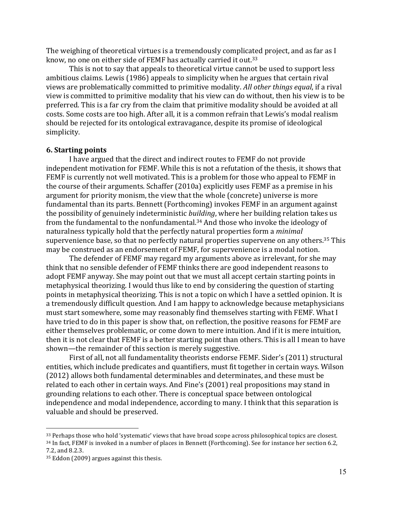The weighing of theoretical virtues is a tremendously complicated project, and as far as I know, no one on either side of FEMF has actually carried it out.<sup>33</sup>

This is not to say that appeals to theoretical virtue cannot be used to support less ambitious claims. Lewis (1986) appeals to simplicity when he argues that certain rival views are problematically committed to primitive modality. *All other things equal*, if a rival view is committed to primitive modality that his view can do without, then his view is to be preferred. This is a far cry from the claim that primitive modality should be avoided at all costs. Some costs are too high. After all, it is a common refrain that Lewis's modal realism should be rejected for its ontological extravagance, despite its promise of ideological simplicity.

#### **6. Starting points**

I have argued that the direct and indirect routes to FEMF do not provide independent motivation for FEMF. While this is not a refutation of the thesis, it shows that FEMF is currently not well motivated. This is a problem for those who appeal to FEMF in the course of their arguments. Schaffer  $(2010a)$  explicitly uses FEMF as a premise in his argument for priority monism, the view that the whole (concrete) universe is more fundamental than its parts. Bennett (Forthcoming) invokes FEMF in an argument against the possibility of genuinely indeterministic *building*, where her building relation takes us from the fundamental to the nonfundamental. $34$  And those who invoke the ideology of naturalness typically hold that the perfectly natural properties form a *minimal* supervenience base, so that no perfectly natural properties supervene on any others.<sup>35</sup> This may be construed as an endorsement of FEMF, for supervenience is a modal notion.

The defender of FEMF may regard my arguments above as irrelevant, for she may think that no sensible defender of FEMF thinks there are good independent reasons to adopt FEMF anyway. She may point out that we must all accept certain starting points in metaphysical theorizing. I would thus like to end by considering the question of starting points in metaphysical theorizing. This is not a topic on which I have a settled opinion. It is a tremendously difficult question. And I am happy to acknowledge because metaphysicians must start somewhere, some may reasonably find themselves starting with FEMF. What I have tried to do in this paper is show that, on reflection, the positive reasons for FEMF are either themselves problematic, or come down to mere intuition. And if it is mere intuition, then it is not clear that FEMF is a better starting point than others. This is all I mean to have shown—the remainder of this section is merely suggestive.

First of all, not all fundamentality theorists endorse FEMF. Sider's (2011) structural entities, which include predicates and quantifiers, must fit together in certain ways. Wilson (2012) allows both fundamental determinables and determinates, and these must be related to each other in certain ways. And Fine's (2001) real propositions may stand in grounding relations to each other. There is conceptual space between ontological independence and modal independence, according to many. I think that this separation is valuable and should be preserved.

<sup>33</sup> Perhaps those who hold 'systematic' views that have broad scope across philosophical topics are closest.  $34$  In fact, FEMF is invoked in a number of places in Bennett (Forthcoming). See for instance her section 6.2, 7.2, and 8.2.3.

 $35$  Eddon (2009) argues against this thesis.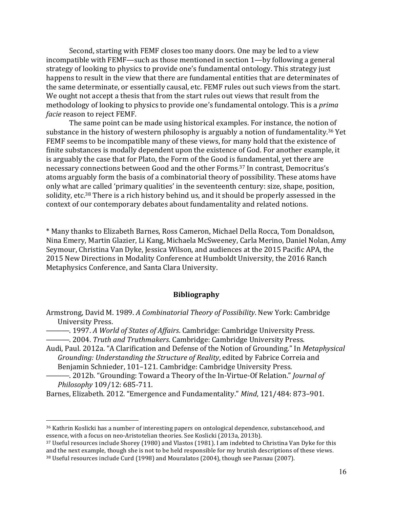Second, starting with FEMF closes too many doors. One may be led to a view incompatible with  $FEMF$ —such as those mentioned in section  $1$ —by following a general strategy of looking to physics to provide one's fundamental ontology. This strategy just happens to result in the view that there are fundamental entities that are determinates of the same determinate, or essentially causal, etc. FEMF rules out such views from the start. We ought not accept a thesis that from the start rules out views that result from the methodology of looking to physics to provide one's fundamental ontology. This is a *prima facie* reason to reject FEMF.

The same point can be made using historical examples. For instance, the notion of substance in the history of western philosophy is arguably a notion of fundamentality.<sup>36</sup> Yet FEMF seems to be incompatible many of these views, for many hold that the existence of finite substances is modally dependent upon the existence of God. For another example, it is arguably the case that for Plato, the Form of the Good is fundamental, yet there are necessary connections between Good and the other Forms.<sup>37</sup> In contrast, Democritus's atoms arguably form the basis of a combinatorial theory of possibility. These atoms have only what are called 'primary qualities' in the seventeenth century: size, shape, position, solidity, etc.<sup>38</sup> There is a rich history behind us, and it should be properly assessed in the context of our contemporary debates about fundamentality and related notions.

\* Many thanks to Elizabeth Barnes, Ross Cameron, Michael Della Rocca, Tom Donaldson, Nina Emery, Martin Glazier, Li Kang, Michaela McSweeney, Carla Merino, Daniel Nolan, Amy Seymour, Christina Van Dyke, Jessica Wilson, and audiences at the 2015 Pacific APA, the 2015 New Directions in Modality Conference at Humboldt University, the 2016 Ranch Metaphysics Conference, and Santa Clara University.

### **Bibliography**

- Armstrong, David M. 1989. *A Combinatorial Theory of Possibility*. New York: Cambridge University Press.
- ——. 1997. *A World of States of Affairs*. Cambridge: Cambridge University Press.
- ————. 2004. *Truth and Truthmakers*. Cambridge: Cambridge University Press.
- Audi, Paul. 2012a. "A Clarification and Defense of the Notion of Grounding." In *Metaphysical Grounding: Understanding the Structure of Reality, edited by Fabrice Correia and* Benjamin Schnieder, 101-121. Cambridge: Cambridge University Press.
	- -. 2012b. "Grounding: Toward a Theory of the In-Virtue-Of Relation." *Journal of Philosophy* 109/12: 685-711.

Barnes, Elizabeth. 2012. "Emergence and Fundamentality." *Mind*, 121/484: 873-901.

<sup>&</sup>lt;sup>36</sup> Kathrin Koslicki has a number of interesting papers on ontological dependence, substancehood, and essence, with a focus on neo-Aristotelian theories. See Koslicki (2013a, 2013b).

<sup>&</sup>lt;sup>37</sup> Useful resources include Shorey (1980) and Vlastos (1981). I am indebted to Christina Van Dyke for this and the next example, though she is not to be held responsible for my brutish descriptions of these views.  $38$  Useful resources include Curd (1998) and Mouralatos (2004), though see Pasnau (2007).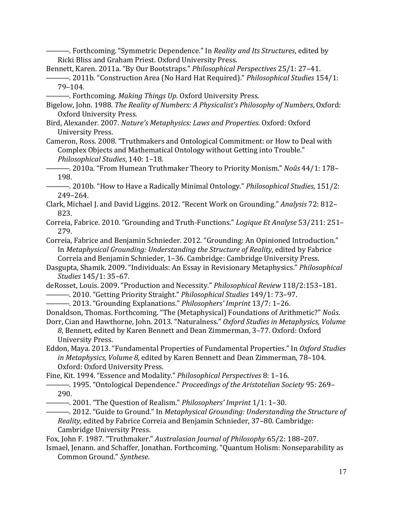-. Forthcoming. "Symmetric Dependence." In *Reality and Its Structures*, edited by Ricki Bliss and Graham Priest. Oxford University Press.

Bennett, Karen. 2011a. "By Our Bootstraps." *Philosophical Perspectives* 25/1: 27–41.

———. 2011b. "Construction Area (No Hard Hat Required)." *Philosophical Studies* 154/1: 79–104.

——. Forthcoming. *Making Things Up*. Oxford University Press.

Bigelow, John. 1988. *The Reality of Numbers: A Physicalist's Philosophy of Numbers*, Oxford: Oxford University Press.

Bird, Alexander. 2007. *Nature's Metaphysics: Laws and Properties*. Oxford: Oxford University Press.

Cameron, Ross. 2008. "Truthmakers and Ontological Commitment: or How to Deal with Complex Objects and Mathematical Ontology without Getting into Trouble." *Philosophical Studies*, 140: 1–18.

——. 2010a. "From Humean Truthmaker Theory to Priority Monism." *Noûs* 44/1: 178– 198.

——. 2010b. "How to Have a Radically Minimal Ontology." *Philosophical Studies*, 151/2: 249–264.

- Clark, Michael J. and David Liggins. 2012. "Recent Work on Grounding." *Analysis* 72: 812– 823.
- Correia, Fabrice. 2010. "Grounding and Truth-Functions." *Logique Et Analyse* 53/211: 251– 279.

Correia, Fabrice and Benjamin Schnieder. 2012. "Grounding: An Opinioned Introduction." In *Metaphysical Grounding: Understanding the Structure of Reality*, edited by Fabrice Correia and Benjamin Schnieder, 1–36. Cambridge: Cambridge University Press.

Dasgupta, Shamik. 2009. "Individuals: An Essay in Revisionary Metaphysics." *Philosophical Studies* 145/1: 35–67.

deRosset, Louis. 2009. "Production and Necessity." *Philosophical Review* 118/2:153-181.

———. 2010. "Getting Priority Straight." *Philosophical Studies* 149/1: 73–97.

———. 2013. "Grounding Explanations." *Philosophers' Imprint* 13/7: 1–26.

Donaldson, Thomas. Forthcoming. "The (Metaphysical) Foundations of Arithmetic?" *Noûs*.

- Dorr, Cian and Hawthorne, John. 2013. "Naturalness." Oxford Studies in Metaphysics, Volume 8, Bennett, edited by Karen Bennett and Dean Zimmerman, 3-77. Oxford: Oxford University Press.
- Eddon, Maya. 2013. "Fundamental Properties of Fundamental Properties." In Oxford Studies *in Metaphysics, Volume 8*, edited by Karen Bennett and Dean Zimmerman, 78–104. Oxford: Oxford University Press.

Fine, Kit. 1994. "Essence and Modality." *Philosophical Perspectives* 8: 1-16.

——. 1995. "Ontological Dependence." *Proceedings of the Aristotelian Society* 95: 269– 290.

——. 2001. "The Question of Realism." *Philosophers' Imprint* 1/1: 1-30.

———. 2012. "Guide to Ground." In *Metaphysical Grounding: Understanding the Structure of Reality*, edited by Fabrice Correia and Benjamin Schnieder, 37–80. Cambridge: Cambridge University Press.

Fox, John F. 1987. "Truthmaker." *Australasian Journal of Philosophy* 65/2: 188–207.

Ismael, Jenann. and Schaffer, Jonathan. Forthcoming. "Quantum Holism: Nonseparability as Common Ground." *Synthese*.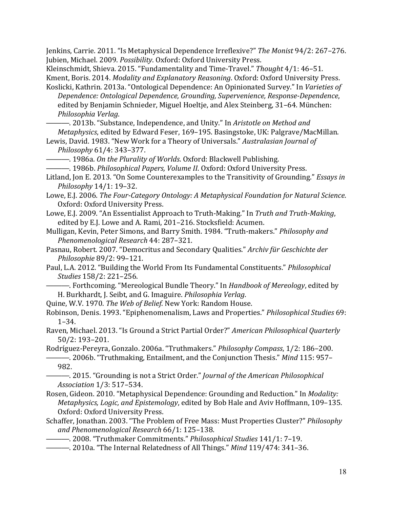Jenkins, Carrie. 2011. "Is Metaphysical Dependence Irreflexive?" The Monist 94/2: 267-276. Jubien, Michael. 2009. *Possibility*. Oxford: Oxford University Press.

Kleinschmidt, Shieva. 2015. "Fundamentality and Time-Travel." Thought 4/1: 46-51. Kment, Boris. 2014. *Modality and Explanatory Reasoning*. Oxford: Oxford University Press.

Koslicki, Kathrin. 2013a. "Ontological Dependence: An Opinionated Survey." In Varieties of *Dependence: Ontological Dependence, Grounding, Supervenience, Response-Dependence*, edited by Benjamin Schnieder, Miguel Hoeltje, and Alex Steinberg, 31-64. München: *Philosophia Verlag*.

—. 2013b. "Substance, Independence, and Unity." In *Aristotle on Method and Metaphysics*, edited by Edward Feser, 169–195. Basingstoke, UK: Palgrave/MacMillan.

Lewis, David. 1983. "New Work for a Theory of Universals." Australasian Journal of *Philosophy* 61/4: 343–377.

——. 1986a. On the Plurality of Worlds. Oxford: Blackwell Publishing.

**——**. 1986b. *Philosophical Papers, Volume II*. Oxford: Oxford University Press.

Litland, Jon E. 2013. "On Some Counterexamples to the Transitivity of Grounding." *Essays in Philosophy* 14/1: 19–32.

Lowe, E.J. 2006. *The Four-Category Ontology: A Metaphysical Foundation for Natural Science.* Oxford: Oxford University Press.

Lowe, E.J. 2009. "An Essentialist Approach to Truth-Making." In Truth and Truth-Making, edited by E.J. Lowe and A. Rami, 201-216. Stocksfield: Acumen.

Mulligan, Kevin, Peter Simons, and Barry Smith. 1984. "Truth-makers." *Philosophy and Phenomenological Research* 44: 287–321.

Pasnau, Robert. 2007. "Democritus and Secondary Qualities." *Archiv für Geschichte der Philosophie* 89/2: 99–121.

Paul, L.A. 2012. "Building the World From Its Fundamental Constituents." *Philosophical Studies* 158/2: 221–256.

----------------. Forthcoming. "Mereological Bundle Theory." In *Handbook of Mereology*, edited by H. Burkhardt, J. Seibt, and G. Imaguire. *Philosophia Verlag*.

Quine, W.V. 1970. *The Web of Belief*. New York: Random House.

Robinson, Denis. 1993. "Epiphenomenalism, Laws and Properties." *Philosophical Studies* 69: 1–34.

Raven, Michael. 2013. "Is Ground a Strict Partial Order?" *American Philosophical Quarterly* 50/2: 193–201.

Rodríguez-Pereyra, Gonzalo. 2006a. "Truthmakers." *Philosophy Compass*, 1/2: 186-200.  $-$ . 2006b. "Truthmaking, Entailment, and the Conjunction Thesis." *Mind* 115: 957–

982.

 $-$ . 2015. "Grounding is not a Strict Order." *Journal of the American Philosophical Association* 1/3: 517–534.

- Rosen, Gideon. 2010. "Metaphysical Dependence: Grounding and Reduction." In *Modality: Metaphysics, Logic, and Epistemology, edited by Bob Hale and Aviv Hoffmann, 109-135.* Oxford: Oxford University Press.
- Schaffer, Jonathan. 2003. "The Problem of Free Mass: Must Properties Cluster?" *Philosophy and Phenomenological Research* 66/1: 125–138.

———. 2008. "Truthmaker Commitments." *Philosophical Studies* 141/1: 7–19.

- 2010a. "The Internal Relatedness of All Things." *Mind* 119/474: 341-36.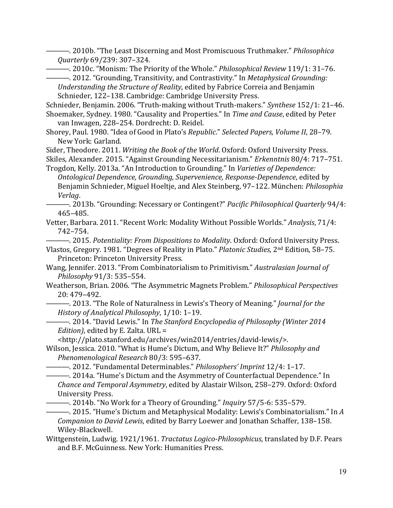-. 2010b. "The Least Discerning and Most Promiscuous Truthmaker." *Philosophica Quarterly* 69/239: 307–324.

——. 2010c. "Monism: The Priority of the Whole." *Philosophical Review* 119/1: 31–76. **-**———. 2012. "Grounding, Transitivity, and Contrastivity." In *Metaphysical Grounding: Understanding the Structure of Reality*, edited by Fabrice Correia and Benjamin

Schnieder, 122–138. Cambridge: Cambridge University Press.

Schnieder, Benjamin. 2006. "Truth-making without Truth-makers." Synthese 152/1: 21-46.

Shoemaker, Sydney. 1980. "Causality and Properties." In Time and Cause, edited by Peter van Inwagen, 228–254. Dordrecht: D. Reidel.

Shorey, Paul. 1980. "Idea of Good in Plato's *Republic."* Selected Papers, Volume II, 28-79. New York: Garland.

Sider, Theodore. 2011. *Writing the Book of the World*. Oxford: Oxford University Press.

Skiles, Alexander. 2015. "Against Grounding Necessitarianism." *Erkenntnis* 80/4: 717–751. Trogdon, Kelly. 2013a. "An Introduction to Grounding." In *Varieties of Dependence:* 

*Ontological Dependence, Grounding, Supervenience, Response-Dependence*, edited by Benjamin Schnieder, Miguel Hoeltje, and Alex Steinberg, 97-122. München: *Philosophia Verlag*.

——. 2013b. "Grounding: Necessary or Contingent?" *Pacific Philosophical Quarterly* 94/4: 465–485.

Vetter, Barbara. 2011. "Recent Work: Modality Without Possible Worlds." *Analysis*, 71/4: 742–754.

 $-$ . 2015. *Potentiality: From Dispositions to Modality*. Oxford: Oxford University Press.

Vlastos, Gregory. 1981. "Degrees of Reality in Plato." *Platonic Studies*, 2<sup>nd</sup> Edition, 58-75. Princeton: Princeton University Press.

Wang, Jennifer. 2013. "From Combinatorialism to Primitivism." *Australasian Journal of Philosophy* 91/3: 535–554.

Weatherson, Brian. 2006. "The Asymmetric Magnets Problem." *Philosophical Perspectives* 20: 479–492.

—. 2013. "The Role of Naturalness in Lewis's Theory of Meaning." *Journal for the History of Analytical Philosophy*, 1/10: 1–19.

-. 2014. "David Lewis." In *The Stanford Encyclopedia of Philosophy (Winter 2014 Edition*), edited by E. Zalta. URL =

<http://plato.stanford.edu/archives/win2014/entries/david-lewis/>.

Wilson, Jessica. 2010. "What is Hume's Dictum, and Why Believe It?" *Philosophy and Phenomenological Research* 80/3: 595–637.

———. 2012. "Fundamental Determinables." *Philosophers' Imprint* 12/4: 1–17.

———. 2014a. "Hume's Dictum and the Asymmetry of Counterfactual Dependence." In *Chance and Temporal Asymmetry*, edited by Alastair Wilson, 258–279. Oxford: Oxford University Press.

——. 2014b. "No Work for a Theory of Grounding." *Inquiry* 57/5-6: 535–579.

———. 2015. "Hume's Dictum and Metaphysical Modality: Lewis's Combinatorialism." In *A Companion to David Lewis*, edited by Barry Loewer and Jonathan Schaffer, 138–158. Wiley-Blackwell.

Wittgenstein, Ludwig. 1921/1961. *Tractatus Logico-Philosophicus*, translated by D.F. Pears and B.F. McGuinness. New York: Humanities Press.